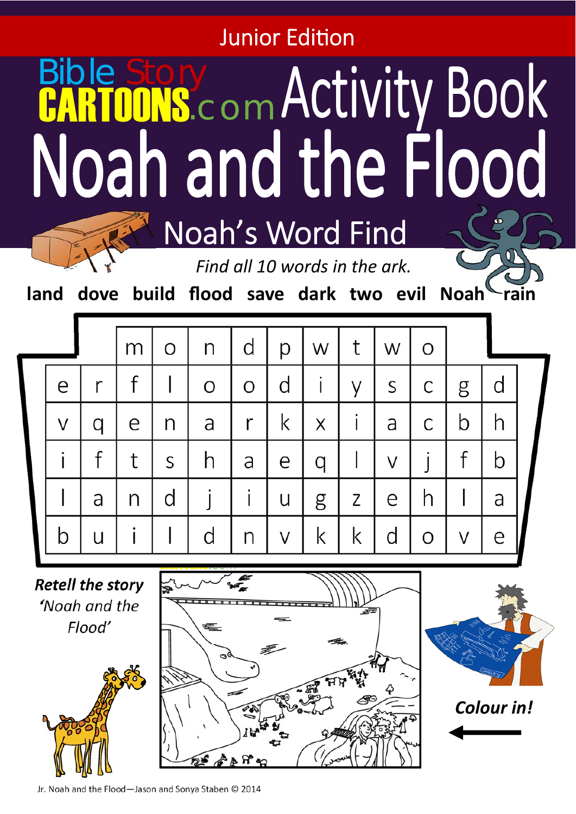**Junior Edition** 

## Bible Story<br>CARTOONS.com Noah and the Flood Noah's Word Find

*Find all 10 words in the ark.* 

land dove build flood save dark two evil Noah rain

|  |   |   | m | O | n | d | р | W | t | W | O |   |   |  |
|--|---|---|---|---|---|---|---|---|---|---|---|---|---|--|
|  | e |   |   |   | O | O | d |   | V | S | С | g | d |  |
|  | V |   | e | n | a | r | K | Χ |   | a | С | Ŋ | n |  |
|  |   |   | t | S | n | a | e | a |   | V |   |   | Ŋ |  |
|  |   | a | n | d |   |   | U | g | Ζ | e |   |   | a |  |
|  |   |   |   |   | d | n | V | Κ | K |   | ∩ | V | e |  |
|  |   |   |   |   |   |   |   |   |   |   |   |   |   |  |

*Retell the story 'Noah and the Flood'*







*Colour in!*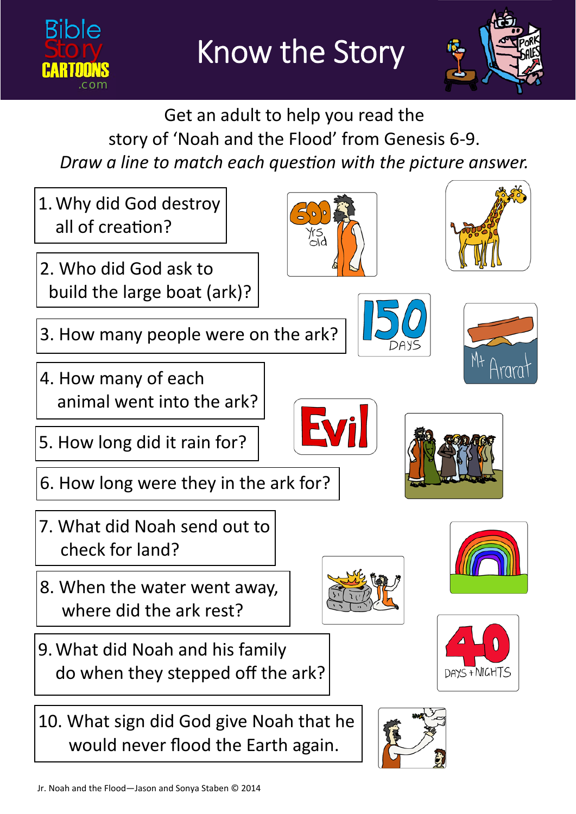



Get an adult to help you read the story of 'Noah and the Flood' from Genesis 6‐9. *Draw a line to match each question with the picture answer.* 

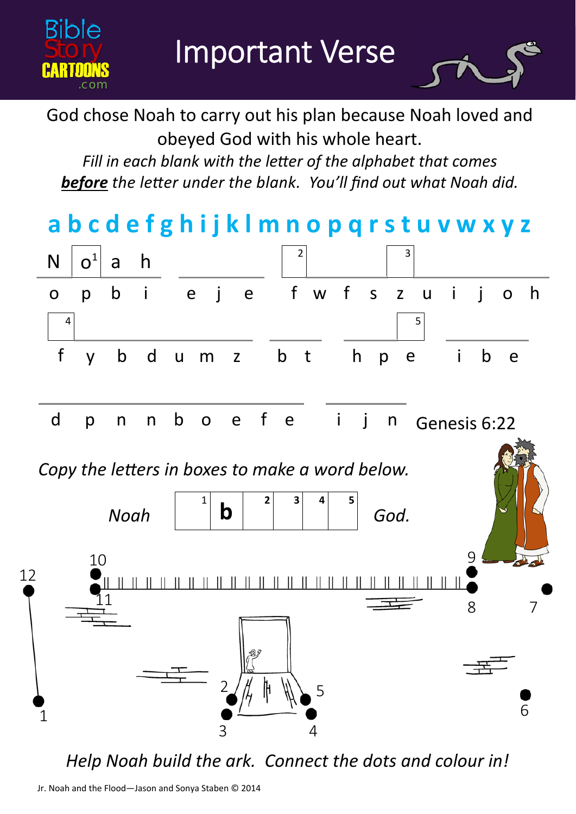Important Verse

Bible

**CARTOONS Story** 

.com



God chose Noah to carry out his plan because Noah loved and obeyed God with his whole heart.

*Fill in each blank with the letter of the alphabet that comes* **before** the letter under the blank. You'll find out what Noah did.

**a b c d e f g h i j k l m n o p q r s t u v w x y z**   $N \mid o^1$  a h  $\mid^2$ o p b i e j e f w f s 3 z u i i o h  $4 \mid 5$ f y b d u m z b t h p e i b e d p n n b o e f e i j n Genesis 6:22 *Noah* | **| D** | | | | *| God.*  $\begin{array}{|c|c|c|c|c|}\n \hline\n 1 & b & 2 & 3 & 4 & 5 \\
\hline\n \end{array}$ *Copy the letters in boxes to make a word below.* 1 3 10 9  $\underline{1}1$ 12 8 7 6 5 4 2

*Help Noah build the ark. Connect the dots and colour in!*